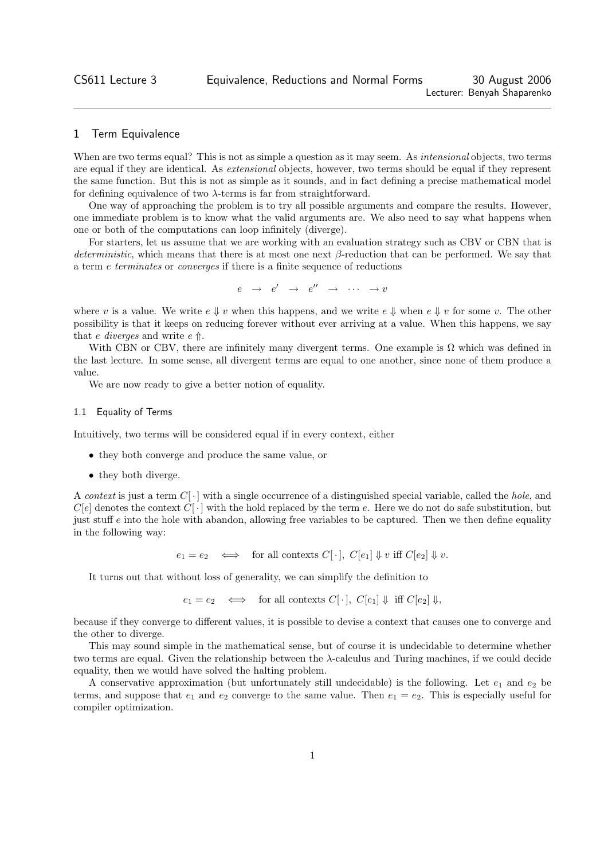# 1 Term Equivalence

When are two terms equal? This is not as simple a question as it may seem. As *intensional* objects, two terms are equal if they are identical. As *extensional* objects, however, two terms should be equal if they represent the same function. But this is not as simple as it sounds, and in fact defining a precise mathematical model for defining equivalence of two  $\lambda$ -terms is far from straightforward.

One way of approaching the problem is to try all possible arguments and compare the results. However, one immediate problem is to know what the valid arguments are. We also need to say what happens when one or both of the computations can loop infinitely (diverge).

For starters, let us assume that we are working with an evaluation strategy such as CBV or CBN that is deterministic, which means that there is at most one next β-reduction that can be performed. We say that a term e terminates or converges if there is a finite sequence of reductions

 $e \rightarrow e' \rightarrow e'' \rightarrow \cdots \rightarrow v$ 

where v is a value. We write  $e \Downarrow v$  when this happens, and we write  $e \Downarrow$  when  $e \Downarrow v$  for some v. The other possibility is that it keeps on reducing forever without ever arriving at a value. When this happens, we say that *e* diverges and write  $e \, \uparrow$ .

With CBN or CBV, there are infinitely many divergent terms. One example is  $\Omega$  which was defined in the last lecture. In some sense, all divergent terms are equal to one another, since none of them produce a value.

We are now ready to give a better notion of equality.

#### 1.1 Equality of Terms

Intuitively, two terms will be considered equal if in every context, either

- they both converge and produce the same value, or
- they both diverge.

A context is just a term  $C[\cdot]$  with a single occurrence of a distinguished special variable, called the hole, and  $C[\epsilon]$  denotes the context  $C[\cdot]$  with the hold replaced by the term  $\epsilon$ . Here we do not do safe substitution, but just stuff  $e$  into the hole with abandon, allowing free variables to be captured. Then we then define equality in the following way:

 $e_1 = e_2 \iff$  for all contexts  $C[\cdot], C[e_1] \Downarrow v$  iff  $C[e_2] \Downarrow v$ .

It turns out that without loss of generality, we can simplify the definition to

 $e_1 = e_2 \iff$  for all contexts  $C[\cdot], C[e_1] \Downarrow$  iff  $C[e_2] \Downarrow$ ,

because if they converge to different values, it is possible to devise a context that causes one to converge and the other to diverge.

This may sound simple in the mathematical sense, but of course it is undecidable to determine whether two terms are equal. Given the relationship between the λ-calculus and Turing machines, if we could decide equality, then we would have solved the halting problem.

A conservative approximation (but unfortunately still undecidable) is the following. Let  $e_1$  and  $e_2$  be terms, and suppose that  $e_1$  and  $e_2$  converge to the same value. Then  $e_1 = e_2$ . This is especially useful for compiler optimization.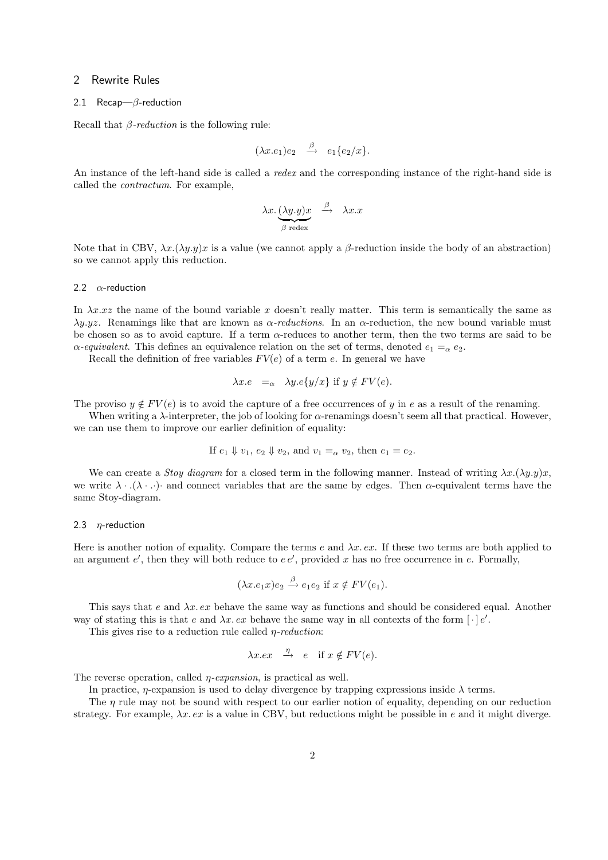### 2 Rewrite Rules

#### 2.1 Recap—β-reduction

Recall that  $\beta$ -reduction is the following rule:

$$
(\lambda x.e_1)e_2 \stackrel{\beta}{\longrightarrow} e_1\{e_2/x\}.
$$

An instance of the left-hand side is called a redex and the corresponding instance of the right-hand side is called the contractum. For example,

$$
\lambda x. \underbrace{(\lambda y. y)x}_{\beta \text{ redex}} \xrightarrow{\beta} \lambda x. x
$$

Note that in CBV,  $\lambda x.(\lambda y. y)x$  is a value (we cannot apply a  $\beta$ -reduction inside the body of an abstraction) so we cannot apply this reduction.

#### 2.2  $\alpha$ -reduction

In  $\lambda x.xz$  the name of the bound variable x doesn't really matter. This term is semantically the same as  $\lambda y_i y_z$ . Renamings like that are known as  $\alpha$ -reductions. In an  $\alpha$ -reduction, the new bound variable must be chosen so as to avoid capture. If a term  $\alpha$ -reduces to another term, then the two terms are said to be  $\alpha$ -equivalent. This defines an equivalence relation on the set of terms, denoted  $e_1 = \alpha e_2$ .

Recall the definition of free variables  $FV(e)$  of a term e. In general we have

$$
\lambda x.e \quad =_{\alpha} \quad \lambda y.e\{y/x\} \text{ if } y \notin FV(e).
$$

The proviso  $y \notin FV(e)$  is to avoid the capture of a free occurrences of y in e as a result of the renaming.

When writing a  $\lambda$ -interpreter, the job of looking for  $\alpha$ -renamings doesn't seem all that practical. However, we can use them to improve our earlier definition of equality:

If 
$$
e_1 \Downarrow v_1
$$
,  $e_2 \Downarrow v_2$ , and  $v_1 =_\alpha v_2$ , then  $e_1 = e_2$ .

We can create a *Stoy diagram* for a closed term in the following manner. Instead of writing  $\lambda x.(\lambda y.y)x$ , we write  $\lambda \cdot (\lambda \cdot \cdot)$  and connect variables that are the same by edges. Then  $\alpha$ -equivalent terms have the same Stoy-diagram.

### 2.3  $\eta$ -reduction

Here is another notion of equality. Compare the terms e and  $\lambda x$ . ex. If these two terms are both applied to an argument  $e'$ , then they will both reduce to  $e e'$ , provided x has no free occurrence in e. Formally,

$$
(\lambda x.e_1 x)e_2 \xrightarrow{\beta} e_1 e_2
$$
 if  $x \notin FV(e_1)$ .

This says that e and  $\lambda x$ . ex behave the same way as functions and should be considered equal. Another way of stating this is that e and  $\lambda x$ . ex behave the same way in all contexts of the form  $[\cdot]e'$ .

This gives rise to a reduction rule called  $\eta$ -reduction:

$$
\lambda x. ex \xrightarrow{\eta} e \text{ if } x \notin FV(e).
$$

The reverse operation, called  $\eta$ -expansion, is practical as well.

In practice,  $\eta$ -expansion is used to delay divergence by trapping expressions inside  $\lambda$  terms.

The  $\eta$  rule may not be sound with respect to our earlier notion of equality, depending on our reduction strategy. For example,  $\lambda x$ . ex is a value in CBV, but reductions might be possible in e and it might diverge.